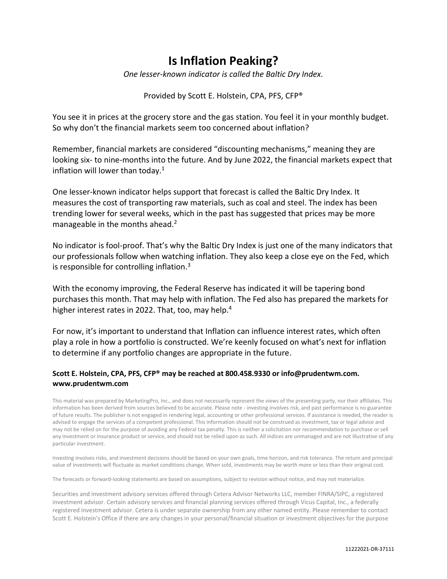## **Is Inflation Peaking?**

*One lesser-known indicator is called the Baltic Dry Index.*

## Provided by Scott E. Holstein, CPA, PFS, CFP®

You see it in prices at the grocery store and the gas station. You feel it in your monthly budget. So why don't the financial markets seem too concerned about inflation?

Remember, financial markets are considered "discounting mechanisms," meaning they are looking six- to nine-months into the future. And by June 2022, the financial markets expect that inflation will lower than today. $1$ 

One lesser-known indicator helps support that forecast is called the Baltic Dry Index. It measures the cost of transporting raw materials, such as coal and steel. The index has been trending lower for several weeks, which in the past has suggested that prices may be more manageable in the months ahead.<sup>2</sup>

No indicator is fool-proof. That's why the Baltic Dry Index is just one of the many indicators that our professionals follow when watching inflation. They also keep a close eye on the Fed, which is responsible for controlling inflation. $3$ 

With the economy improving, the Federal Reserve has indicated it will be tapering bond purchases this month. That may help with inflation. The Fed also has prepared the markets for higher interest rates in 2022. That, too, may help.<sup>4</sup>

For now, it's important to understand that Inflation can influence interest rates, which often play a role in how a portfolio is constructed. We're keenly focused on what's next for inflation to determine if any portfolio changes are appropriate in the future.

## **Scott E. Holstein, CPA, PFS, CFP® may be reached at 800.458.9330 or info@prudentwm.com. www.prudentwm.com**

This material was prepared by MarketingPro, Inc., and does not necessarily represent the views of the presenting party, nor their affiliates. This information has been derived from sources believed to be accurate. Please note - investing involves risk, and past performance is no guarantee of future results. The publisher is not engaged in rendering legal, accounting or other professional services. If assistance is needed, the reader is advised to engage the services of a competent professional. This information should not be construed as investment, tax or legal advice and may not be relied on for the purpose of avoiding any Federal tax penalty. This is neither a solicitation nor recommendation to purchase or sell any investment or insurance product or service, and should not be relied upon as such. All indices are unmanaged and are not illustrative of any particular investment.

Investing involves risks, and investment decisions should be based on your own goals, time horizon, and risk tolerance. The return and principal value of investments will fluctuate as market conditions change. When sold, investments may be worth more or less than their original cost.

The forecasts or forward-looking statements are based on assumptions, subject to revision without notice, and may not materialize.

Securities and investment advisory services offered through Cetera Advisor Networks LLC, member FINRA/SIPC, a registered investment advisor. Certain advisory services and financial planning services offered through Vicus Capital, Inc., a federally registered investment advisor. Cetera is under separate ownership from any other named entity. Please remember to contact Scott E. Holstein's Office if there are any changes in your personal/financial situation or investment objectives for the purpose